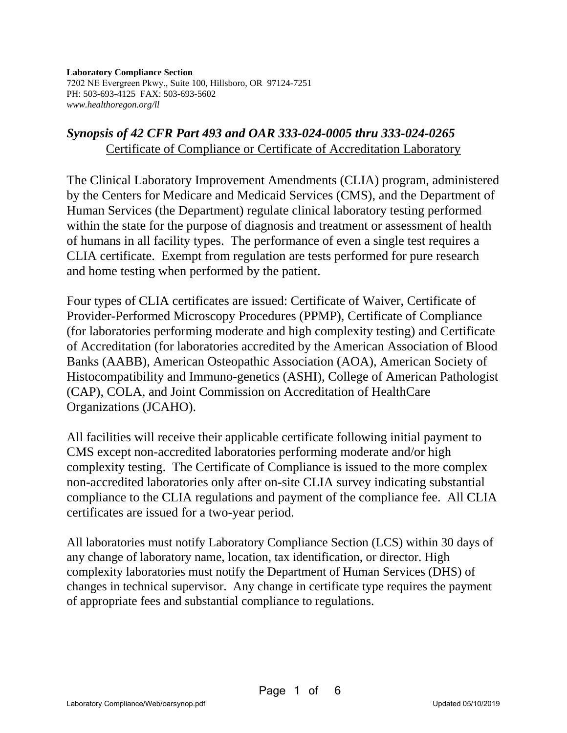**Laboratory Compliance Section**  7202 NE Evergreen Pkwy., Suite 100, Hillsboro, OR 97124-7251 PH: 503-693-4125 FAX: 503-693-5602 *www.healthoregon.org/ll*

## *Synopsis of 42 CFR Part 493 and OAR 333-024-0005 thru 333-024-0265*  Certificate of Compliance or Certificate of Accreditation Laboratory

The Clinical Laboratory Improvement Amendments (CLIA) program, administered by the Centers for Medicare and Medicaid Services (CMS), and the Department of Human Services (the Department) regulate clinical laboratory testing performed within the state for the purpose of diagnosis and treatment or assessment of health of humans in all facility types. The performance of even a single test requires a CLIA certificate. Exempt from regulation are tests performed for pure research and home testing when performed by the patient.

Four types of CLIA certificates are issued: Certificate of Waiver, Certificate of Provider-Performed Microscopy Procedures (PPMP), Certificate of Compliance (for laboratories performing moderate and high complexity testing) and Certificate of Accreditation (for laboratories accredited by the American Association of Blood Banks (AABB), American Osteopathic Association (AOA), American Society of Histocompatibility and Immuno-genetics (ASHI), College of American Pathologist (CAP), COLA, and Joint Commission on Accreditation of HealthCare Organizations (JCAHO).

All facilities will receive their applicable certificate following initial payment to CMS except non-accredited laboratories performing moderate and/or high complexity testing. The Certificate of Compliance is issued to the more complex non-accredited laboratories only after on-site CLIA survey indicating substantial compliance to the CLIA regulations and payment of the compliance fee. All CLIA certificates are issued for a two-year period.

All laboratories must notify Laboratory Compliance Section (LCS) within 30 days of any change of laboratory name, location, tax identification, or director. High complexity laboratories must notify the Department of Human Services (DHS) of changes in technical supervisor. Any change in certificate type requires the payment of appropriate fees and substantial compliance to regulations.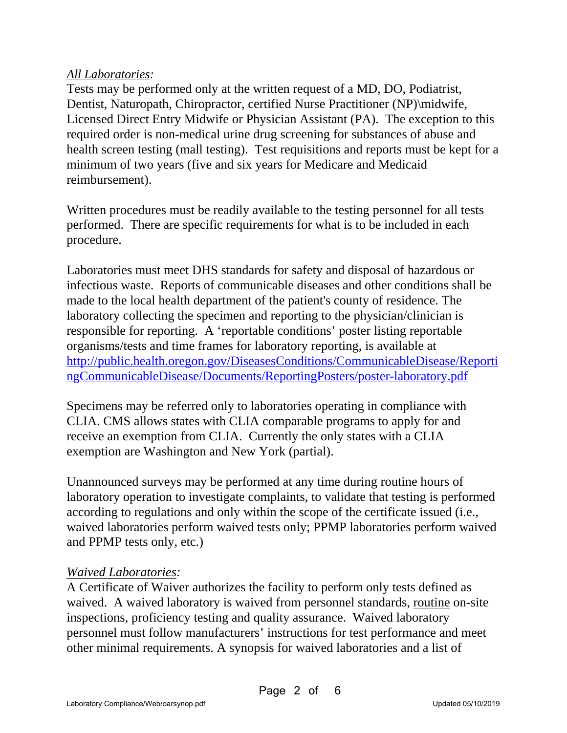### *All Laboratories:*

Tests may be performed only at the written request of a MD, DO, Podiatrist, Dentist, Naturopath, Chiropractor, certified Nurse Practitioner (NP)\midwife, Licensed Direct Entry Midwife or Physician Assistant (PA). The exception to this required order is non-medical urine drug screening for substances of abuse and health screen testing (mall testing). Test requisitions and reports must be kept for a minimum of two years (five and six years for Medicare and Medicaid reimbursement).

Written procedures must be readily available to the testing personnel for all tests performed. There are specific requirements for what is to be included in each procedure.

Laboratories must meet DHS standards for safety and disposal of hazardous or infectious waste. Reports of communicable diseases and other conditions shall be made to the local health department of the patient's county of residence. The laboratory collecting the specimen and reporting to the physician/clinician is responsible for reporting. A 'reportable conditions' poster listing reportable organisms/tests and time frames for laboratory reporting, is available at http://public.health.oregon.gov/DiseasesConditions/CommunicableDisease/Reporti ngCommunicableDisease/Documents/ReportingPosters/poster-laboratory.pdf

Specimens may be referred only to laboratories operating in compliance with CLIA. CMS allows states with CLIA comparable programs to apply for and receive an exemption from CLIA. Currently the only states with a CLIA exemption are Washington and New York (partial).

Unannounced surveys may be performed at any time during routine hours of laboratory operation to investigate complaints, to validate that testing is performed according to regulations and only within the scope of the certificate issued (i.e., waived laboratories perform waived tests only; PPMP laboratories perform waived and PPMP tests only, etc.)

#### *Waived Laboratories:*

A Certificate of Waiver authorizes the facility to perform only tests defined as waived. A waived laboratory is waived from personnel standards, routine on-site inspections, proficiency testing and quality assurance. Waived laboratory personnel must follow manufacturers' instructions for test performance and meet other minimal requirements. A synopsis for waived laboratories and a list of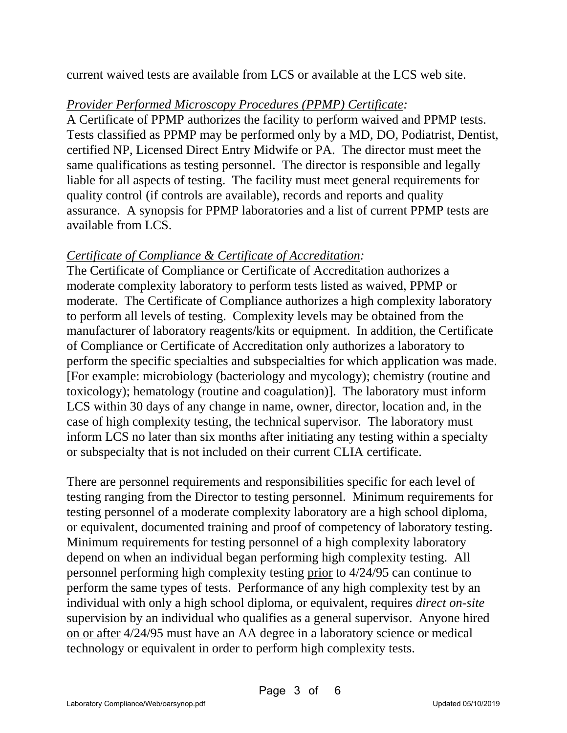current waived tests are available from LCS or available at the LCS web site.

## *Provider Performed Microscopy Procedures (PPMP) Certificate:*

A Certificate of PPMP authorizes the facility to perform waived and PPMP tests. Tests classified as PPMP may be performed only by a MD, DO, Podiatrist, Dentist, certified NP, Licensed Direct Entry Midwife or PA. The director must meet the same qualifications as testing personnel. The director is responsible and legally liable for all aspects of testing. The facility must meet general requirements for quality control (if controls are available), records and reports and quality assurance. A synopsis for PPMP laboratories and a list of current PPMP tests are available from LCS.

# *Certificate of Compliance & Certificate of Accreditation:*

The Certificate of Compliance or Certificate of Accreditation authorizes a moderate complexity laboratory to perform tests listed as waived, PPMP or moderate. The Certificate of Compliance authorizes a high complexity laboratory to perform all levels of testing. Complexity levels may be obtained from the manufacturer of laboratory reagents/kits or equipment. In addition, the Certificate of Compliance or Certificate of Accreditation only authorizes a laboratory to perform the specific specialties and subspecialties for which application was made. [For example: microbiology (bacteriology and mycology); chemistry (routine and toxicology); hematology (routine and coagulation)]. The laboratory must inform LCS within 30 days of any change in name, owner, director, location and, in the case of high complexity testing, the technical supervisor. The laboratory must inform LCS no later than six months after initiating any testing within a specialty or subspecialty that is not included on their current CLIA certificate.

There are personnel requirements and responsibilities specific for each level of testing ranging from the Director to testing personnel. Minimum requirements for testing personnel of a moderate complexity laboratory are a high school diploma, or equivalent, documented training and proof of competency of laboratory testing. Minimum requirements for testing personnel of a high complexity laboratory depend on when an individual began performing high complexity testing. All personnel performing high complexity testing prior to 4/24/95 can continue to perform the same types of tests. Performance of any high complexity test by an individual with only a high school diploma, or equivalent, requires *direct on-site* supervision by an individual who qualifies as a general supervisor. Anyone hired on or after 4/24/95 must have an AA degree in a laboratory science or medical technology or equivalent in order to perform high complexity tests.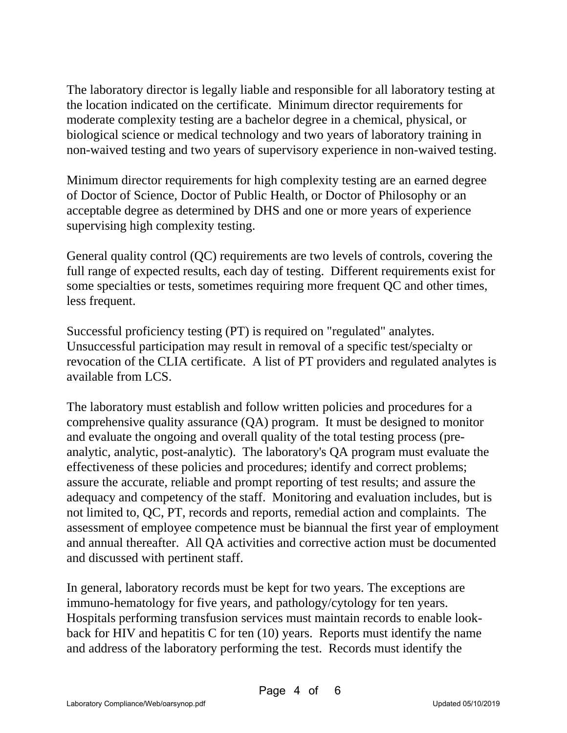The laboratory director is legally liable and responsible for all laboratory testing at the location indicated on the certificate. Minimum director requirements for moderate complexity testing are a bachelor degree in a chemical, physical, or biological science or medical technology and two years of laboratory training in non-waived testing and two years of supervisory experience in non-waived testing.

Minimum director requirements for high complexity testing are an earned degree of Doctor of Science, Doctor of Public Health, or Doctor of Philosophy or an acceptable degree as determined by DHS and one or more years of experience supervising high complexity testing.

General quality control (QC) requirements are two levels of controls, covering the full range of expected results, each day of testing. Different requirements exist for some specialties or tests, sometimes requiring more frequent QC and other times, less frequent.

Successful proficiency testing (PT) is required on "regulated" analytes. Unsuccessful participation may result in removal of a specific test/specialty or revocation of the CLIA certificate. A list of PT providers and regulated analytes is available from LCS.

The laboratory must establish and follow written policies and procedures for a comprehensive quality assurance (QA) program. It must be designed to monitor and evaluate the ongoing and overall quality of the total testing process (preanalytic, analytic, post-analytic). The laboratory's QA program must evaluate the effectiveness of these policies and procedures; identify and correct problems; assure the accurate, reliable and prompt reporting of test results; and assure the adequacy and competency of the staff. Monitoring and evaluation includes, but is not limited to, QC, PT, records and reports, remedial action and complaints. The assessment of employee competence must be biannual the first year of employment and annual thereafter. All QA activities and corrective action must be documented and discussed with pertinent staff.

In general, laboratory records must be kept for two years. The exceptions are immuno-hematology for five years, and pathology/cytology for ten years. Hospitals performing transfusion services must maintain records to enable lookback for HIV and hepatitis C for ten (10) years. Reports must identify the name and address of the laboratory performing the test. Records must identify the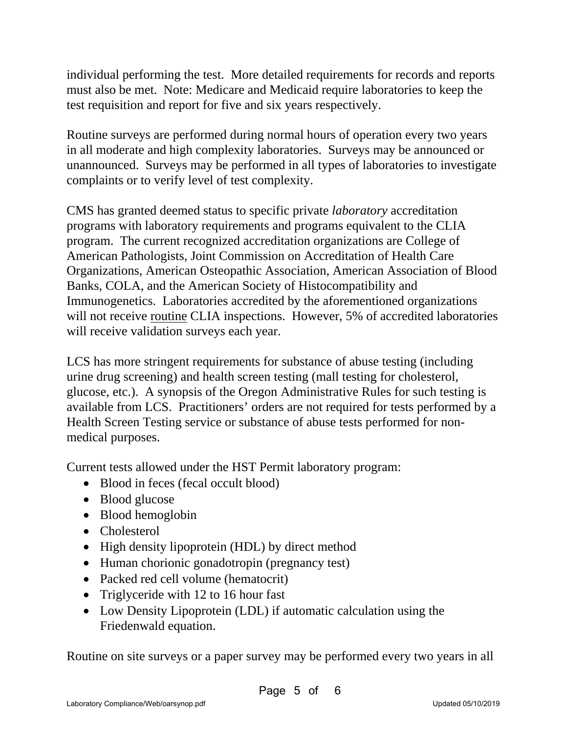individual performing the test. More detailed requirements for records and reports must also be met. Note: Medicare and Medicaid require laboratories to keep the test requisition and report for five and six years respectively.

Routine surveys are performed during normal hours of operation every two years in all moderate and high complexity laboratories. Surveys may be announced or unannounced. Surveys may be performed in all types of laboratories to investigate complaints or to verify level of test complexity.

CMS has granted deemed status to specific private *laboratory* accreditation programs with laboratory requirements and programs equivalent to the CLIA program. The current recognized accreditation organizations are College of American Pathologists, Joint Commission on Accreditation of Health Care Organizations, American Osteopathic Association, American Association of Blood Banks, COLA, and the American Society of Histocompatibility and Immunogenetics. Laboratories accredited by the aforementioned organizations will not receive routine CLIA inspections. However, 5% of accredited laboratories will receive validation surveys each year.

LCS has more stringent requirements for substance of abuse testing (including urine drug screening) and health screen testing (mall testing for cholesterol, glucose, etc.). A synopsis of the Oregon Administrative Rules for such testing is available from LCS. Practitioners' orders are not required for tests performed by a Health Screen Testing service or substance of abuse tests performed for nonmedical purposes.

Current tests allowed under the HST Permit laboratory program:

- Blood in feces (fecal occult blood)
- Blood glucose
- Blood hemoglobin
- Cholesterol
- High density lipoprotein (HDL) by direct method
- Human chorionic gonadotropin (pregnancy test)
- Packed red cell volume (hematocrit)
- Triglyceride with 12 to 16 hour fast
- Low Density Lipoprotein (LDL) if automatic calculation using the Friedenwald equation.

Routine on site surveys or a paper survey may be performed every two years in all